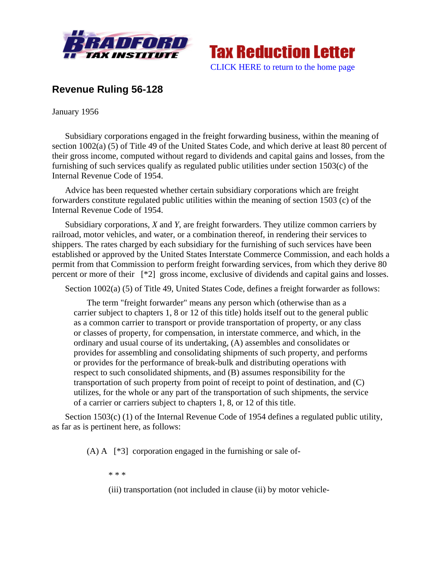



## **Revenue Ruling 56-128**

January 1956

Subsidiary corporations engaged in the freight forwarding business, within the meaning of section 1002(a) (5) of Title 49 of the United States Code, and which derive at least 80 percent of their gross income, computed without regard to dividends and capital gains and losses, from the furnishing of such services qualify as regulated public utilities under section 1503(c) of the Internal Revenue Code of 1954.

Advice has been requested whether certain subsidiary corporations which are freight forwarders constitute regulated public utilities within the meaning of section 1503 (c) of the Internal Revenue Code of 1954.

Subsidiary corporations, *X* and *Y*, are freight forwarders. They utilize common carriers by railroad, motor vehicles, and water, or a combination thereof, in rendering their services to shippers. The rates charged by each subsidiary for the furnishing of such services have been established or approved by the United States Interstate Commerce Commission, and each holds a permit from that Commission to perform freight forwarding services, from which they derive 80 percent or more of their [\*2] gross income, exclusive of dividends and capital gains and losses.

Section 1002(a) (5) of Title 49, United States Code, defines a freight forwarder as follows:

The term "freight forwarder" means any person which (otherwise than as a carrier subject to chapters 1, 8 or 12 of this title) holds itself out to the general public as a common carrier to transport or provide transportation of property, or any class or classes of property, for compensation, in interstate commerce, and which, in the ordinary and usual course of its undertaking, (A) assembles and consolidates or provides for assembling and consolidating shipments of such property, and performs or provides for the performance of break-bulk and distributing operations with respect to such consolidated shipments, and (B) assumes responsibility for the transportation of such property from point of receipt to point of destination, and (C) utilizes, for the whole or any part of the transportation of such shipments, the service of a carrier or carriers subject to chapters 1, 8, or 12 of this title.

Section 1503(c) (1) of the Internal Revenue Code of 1954 defines a regulated public utility, as far as is pertinent here, as follows:

(A) A [\*3] corporation engaged in the furnishing or sale of-

\* \* \*

(iii) transportation (not included in clause (ii) by motor vehicle-